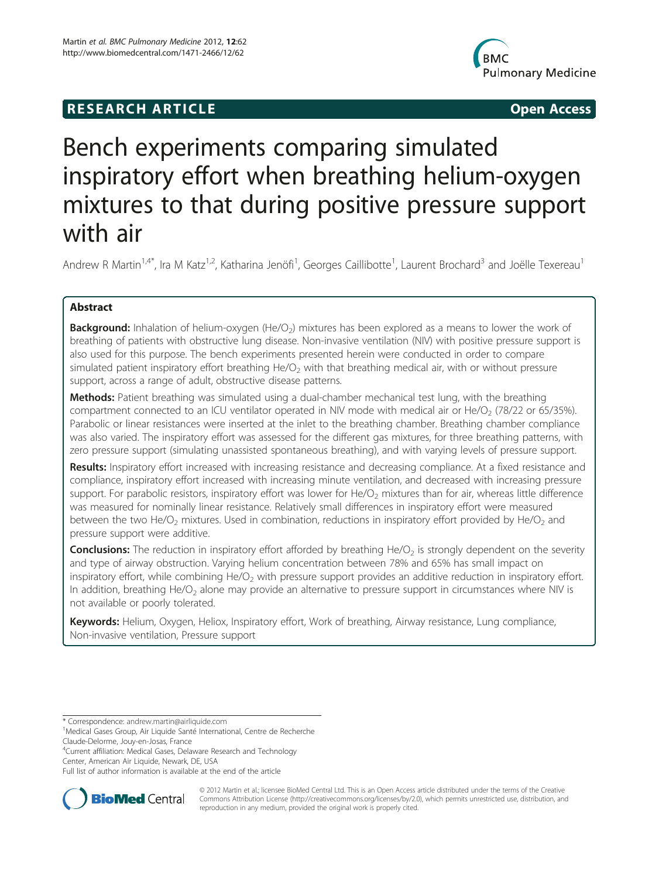# **RESEARCH ARTICLE Example 2014 12:30 The SEAR CHA RTICLE**



# Bench experiments comparing simulated inspiratory effort when breathing helium-oxygen mixtures to that during positive pressure support with air

Andrew R Martin<sup>1,4\*</sup>, Ira M Katz<sup>1,2</sup>, Katharina Jenöfi<sup>1</sup>, Georges Caillibotte<sup>1</sup>, Laurent Brochard<sup>3</sup> and Joëlle Texereau<sup>1</sup>

# Abstract

Background: Inhalation of helium-oxygen (He/O<sub>2</sub>) mixtures has been explored as a means to lower the work of breathing of patients with obstructive lung disease. Non-invasive ventilation (NIV) with positive pressure support is also used for this purpose. The bench experiments presented herein were conducted in order to compare simulated patient inspiratory effort breathing He/O<sub>2</sub> with that breathing medical air, with or without pressure support, across a range of adult, obstructive disease patterns.

**Methods:** Patient breathing was simulated using a dual-chamber mechanical test lung, with the breathing compartment connected to an ICU ventilator operated in NIV mode with medical air or He/O<sub>2</sub> (78/22 or 65/35%). Parabolic or linear resistances were inserted at the inlet to the breathing chamber. Breathing chamber compliance was also varied. The inspiratory effort was assessed for the different gas mixtures, for three breathing patterns, with zero pressure support (simulating unassisted spontaneous breathing), and with varying levels of pressure support.

Results: Inspiratory effort increased with increasing resistance and decreasing compliance. At a fixed resistance and compliance, inspiratory effort increased with increasing minute ventilation, and decreased with increasing pressure support. For parabolic resistors, inspiratory effort was lower for He/O<sub>2</sub> mixtures than for air, whereas little difference was measured for nominally linear resistance. Relatively small differences in inspiratory effort were measured between the two He/O<sub>2</sub> mixtures. Used in combination, reductions in inspiratory effort provided by He/O<sub>2</sub> and pressure support were additive.

**Conclusions:** The reduction in inspiratory effort afforded by breathing He/O<sub>2</sub> is strongly dependent on the severity and type of airway obstruction. Varying helium concentration between 78% and 65% has small impact on inspiratory effort, while combining He/O<sub>2</sub> with pressure support provides an additive reduction in inspiratory effort. In addition, breathing He/O<sub>2</sub> alone may provide an alternative to pressure support in circumstances where NIV is not available or poorly tolerated.

Keywords: Helium, Oxygen, Heliox, Inspiratory effort, Work of breathing, Airway resistance, Lung compliance, Non-invasive ventilation, Pressure support

4 Current affiliation: Medical Gases, Delaware Research and Technology Center, American Air Liquide, Newark, DE, USA

Full list of author information is available at the end of the article



© 2012 Martin et al.; licensee BioMed Central Ltd. This is an Open Access article distributed under the terms of the Creative Commons Attribution License [\(http://creativecommons.org/licenses/by/2.0\)](http://creativecommons.org/licenses/by/2.0), which permits unrestricted use, distribution, and reproduction in any medium, provided the original work is properly cited.

<sup>\*</sup> Correspondence: [andrew.martin@airliquide.com](mailto:andrew.martin@airliquide.com) <sup>1</sup>

<sup>&</sup>lt;sup>1</sup>Medical Gases Group, Air Liquide Santé International, Centre de Recherche Claude-Delorme, Jouy-en-Josas, France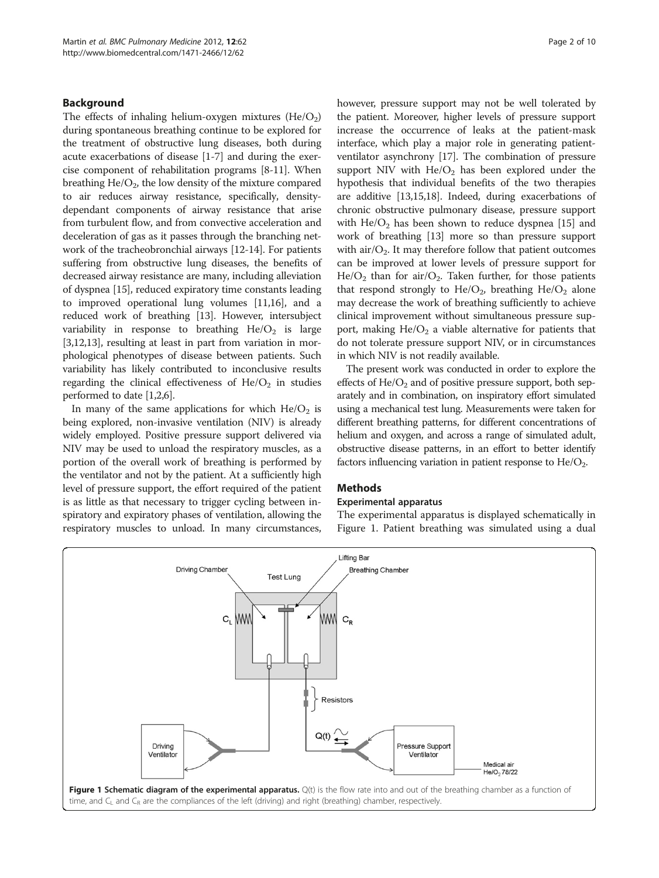# Background

The effects of inhaling helium-oxygen mixtures  $(He/O<sub>2</sub>)$ during spontaneous breathing continue to be explored for the treatment of obstructive lung diseases, both during acute exacerbations of disease [[1-7\]](#page-9-0) and during the exercise component of rehabilitation programs [[8-11\]](#page-9-0). When breathing  $He/O<sub>2</sub>$ , the low density of the mixture compared to air reduces airway resistance, specifically, densitydependant components of airway resistance that arise from turbulent flow, and from convective acceleration and deceleration of gas as it passes through the branching network of the tracheobronchial airways [[12](#page-9-0)-[14](#page-9-0)]. For patients suffering from obstructive lung diseases, the benefits of decreased airway resistance are many, including alleviation of dyspnea [\[15\]](#page-9-0), reduced expiratory time constants leading to improved operational lung volumes [[11,16\]](#page-9-0), and a reduced work of breathing [\[13\]](#page-9-0). However, intersubject variability in response to breathing  $He/O<sub>2</sub>$  is large [[3,12,13\]](#page-9-0), resulting at least in part from variation in morphological phenotypes of disease between patients. Such variability has likely contributed to inconclusive results regarding the clinical effectiveness of  $He/O<sub>2</sub>$  in studies performed to date [\[1,2,6](#page-9-0)].

In many of the same applications for which  $He/O<sub>2</sub>$  is being explored, non-invasive ventilation (NIV) is already widely employed. Positive pressure support delivered via NIV may be used to unload the respiratory muscles, as a portion of the overall work of breathing is performed by the ventilator and not by the patient. At a sufficiently high level of pressure support, the effort required of the patient is as little as that necessary to trigger cycling between inspiratory and expiratory phases of ventilation, allowing the respiratory muscles to unload. In many circumstances, however, pressure support may not be well tolerated by the patient. Moreover, higher levels of pressure support increase the occurrence of leaks at the patient-mask interface, which play a major role in generating patientventilator asynchrony [[17](#page-9-0)]. The combination of pressure support NIV with  $He/O<sub>2</sub>$  has been explored under the hypothesis that individual benefits of the two therapies are additive [[13,15,18\]](#page-9-0). Indeed, during exacerbations of chronic obstructive pulmonary disease, pressure support with  $He/O<sub>2</sub>$  has been shown to reduce dyspnea [\[15\]](#page-9-0) and work of breathing [\[13\]](#page-9-0) more so than pressure support with  $air/O<sub>2</sub>$ . It may therefore follow that patient outcomes can be improved at lower levels of pressure support for  $He/O<sub>2</sub>$  than for air/ $O<sub>2</sub>$ . Taken further, for those patients that respond strongly to  $He/O<sub>2</sub>$ , breathing  $He/O<sub>2</sub>$  alone may decrease the work of breathing sufficiently to achieve clinical improvement without simultaneous pressure support, making  $He/O<sub>2</sub>$  a viable alternative for patients that do not tolerate pressure support NIV, or in circumstances in which NIV is not readily available.

The present work was conducted in order to explore the effects of  $He/O<sub>2</sub>$  and of positive pressure support, both separately and in combination, on inspiratory effort simulated using a mechanical test lung. Measurements were taken for different breathing patterns, for different concentrations of helium and oxygen, and across a range of simulated adult, obstructive disease patterns, in an effort to better identify factors influencing variation in patient response to  $He/O<sub>2</sub>$ .

#### Methods

#### Experimental apparatus

The experimental apparatus is displayed schematically in Figure 1. Patient breathing was simulated using a dual

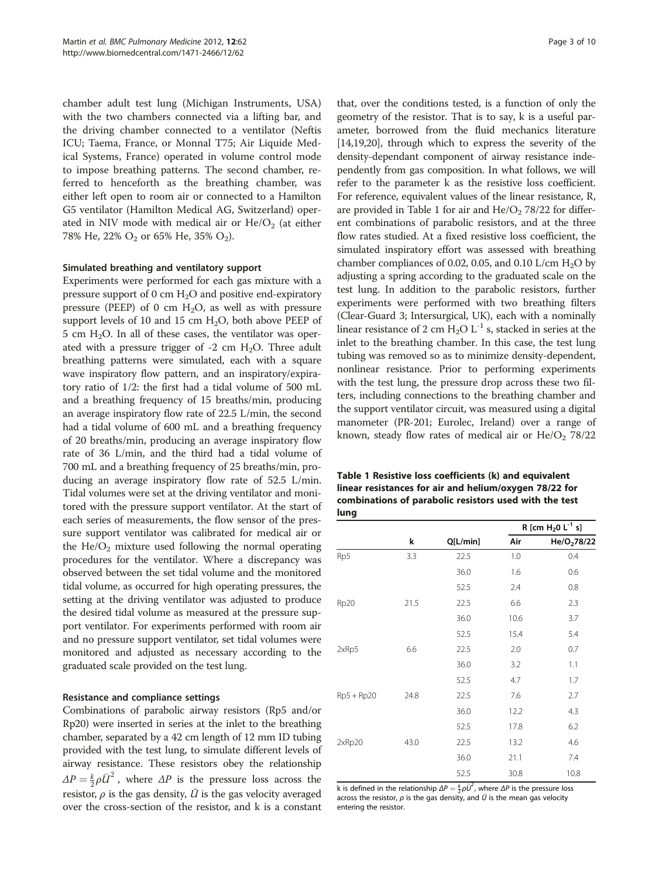<span id="page-2-0"></span>chamber adult test lung (Michigan Instruments, USA) with the two chambers connected via a lifting bar, and the driving chamber connected to a ventilator (Neftis ICU; Taema, France, or Monnal T75; Air Liquide Medical Systems, France) operated in volume control mode to impose breathing patterns. The second chamber, referred to henceforth as the breathing chamber, was either left open to room air or connected to a Hamilton G5 ventilator (Hamilton Medical AG, Switzerland) operated in NIV mode with medical air or  $He/O<sub>2</sub>$  (at either 78% He, 22%  $O_2$  or 65% He, 35%  $O_2$ ).

#### Simulated breathing and ventilatory support

Experiments were performed for each gas mixture with a pressure support of 0 cm  $H_2O$  and positive end-expiratory pressure (PEEP) of 0 cm  $H_2O$ , as well as with pressure support levels of 10 and 15 cm  $H_2O$ , both above PEEP of 5 cm  $H_2O$ . In all of these cases, the ventilator was operated with a pressure trigger of  $-2$  cm  $H_2O$ . Three adult breathing patterns were simulated, each with a square wave inspiratory flow pattern, and an inspiratory/expiratory ratio of 1/2: the first had a tidal volume of 500 mL and a breathing frequency of 15 breaths/min, producing an average inspiratory flow rate of 22.5 L/min, the second had a tidal volume of 600 mL and a breathing frequency of 20 breaths/min, producing an average inspiratory flow rate of 36 L/min, and the third had a tidal volume of 700 mL and a breathing frequency of 25 breaths/min, producing an average inspiratory flow rate of 52.5 L/min. Tidal volumes were set at the driving ventilator and monitored with the pressure support ventilator. At the start of each series of measurements, the flow sensor of the pressure support ventilator was calibrated for medical air or the  $He/O<sub>2</sub>$  mixture used following the normal operating procedures for the ventilator. Where a discrepancy was observed between the set tidal volume and the monitored tidal volume, as occurred for high operating pressures, the setting at the driving ventilator was adjusted to produce the desired tidal volume as measured at the pressure support ventilator. For experiments performed with room air and no pressure support ventilator, set tidal volumes were monitored and adjusted as necessary according to the graduated scale provided on the test lung.

# Resistance and compliance settings

Combinations of parabolic airway resistors (Rp5 and/or Rp20) were inserted in series at the inlet to the breathing chamber, separated by a 42 cm length of 12 mm ID tubing provided with the test lung, to simulate different levels of airway resistance. These resistors obey the relationship  $\Delta P = \frac{k}{2} \rho \bar{U}^2$ , where  $\Delta P$  is the pressure loss across the resistor,  $\rho$  is the gas density,  $\bar{U}$  is the gas velocity averaged over the cross-section of the resistor, and k is a constant

that, over the conditions tested, is a function of only the geometry of the resistor. That is to say, k is a useful parameter, borrowed from the fluid mechanics literature [[14,19,20\]](#page-9-0), through which to express the severity of the density-dependant component of airway resistance independently from gas composition. In what follows, we will refer to the parameter k as the resistive loss coefficient. For reference, equivalent values of the linear resistance, R, are provided in Table 1 for air and  $He/O<sub>2</sub> 78/22$  for different combinations of parabolic resistors, and at the three flow rates studied. At a fixed resistive loss coefficient, the simulated inspiratory effort was assessed with breathing chamber compliances of 0.02, 0.05, and 0.10 L/cm  $H_2O$  by adjusting a spring according to the graduated scale on the test lung. In addition to the parabolic resistors, further experiments were performed with two breathing filters (Clear-Guard 3; Intersurgical, UK), each with a nominally linear resistance of 2 cm  $H_2O$  L<sup>-1</sup> s, stacked in series at the inlet to the breathing chamber. In this case, the test lung tubing was removed so as to minimize density-dependent, nonlinear resistance. Prior to performing experiments with the test lung, the pressure drop across these two filters, including connections to the breathing chamber and the support ventilator circuit, was measured using a digital manometer (PR-201; Eurolec, Ireland) over a range of known, steady flow rates of medical air or  $He/O<sub>2</sub>$  78/22

Table 1 Resistive loss coefficients (k) and equivalent linear resistances for air and helium/oxygen 78/22 for combinations of parabolic resistors used with the test lung

|              | k    | Q[L/min] | R [cm H <sub>2</sub> 0 L <sup>-1</sup> s] |                         |
|--------------|------|----------|-------------------------------------------|-------------------------|
|              |      |          | Air                                       | He/O <sub>2</sub> 78/22 |
| Rp5          | 3.3  | 22.5     | 1.0                                       | 0.4                     |
|              |      | 36.0     | 1.6                                       | 0.6                     |
|              |      | 52.5     | 2.4                                       | 0.8                     |
| Rp20         | 21.5 | 22.5     | 6.6                                       | 2.3                     |
|              |      | 36.0     | 10.6                                      | 3.7                     |
|              |      | 52.5     | 15.4                                      | 5.4                     |
| 2xRp5        | 6.6  | 22.5     | 2.0                                       | 0.7                     |
|              |      | 36.0     | 3.2                                       | 1.1                     |
|              |      | 52.5     | 4.7                                       | 1.7                     |
| $Rp5 + Rp20$ | 24.8 | 22.5     | 7.6                                       | 2.7                     |
|              |      | 36.0     | 12.2                                      | 4.3                     |
|              |      | 52.5     | 17.8                                      | 6.2                     |
| 2xRp20       | 43.0 | 22.5     | 13.2                                      | 4.6                     |
|              |      | 36.0     | 21.1                                      | 7.4                     |
|              |      | 52.5     | 30.8                                      | 10.8                    |

k is defined in the relationship  $\Delta P = \frac{k}{2} \rho \bar{U}^2$ , where  $\Delta P$  is the pressure loss across the resistor,  $\rho$  is the gas density, and  $\bar{U}$  is the mean gas velocity entering the resistor.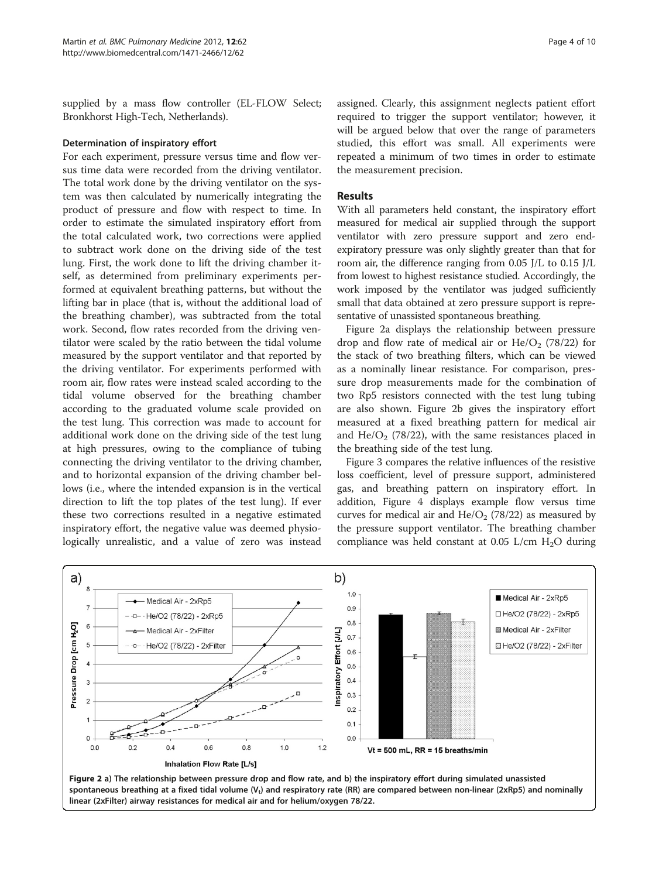<span id="page-3-0"></span>supplied by a mass flow controller (EL-FLOW Select; Bronkhorst High-Tech, Netherlands).

### Determination of inspiratory effort

For each experiment, pressure versus time and flow versus time data were recorded from the driving ventilator. The total work done by the driving ventilator on the system was then calculated by numerically integrating the product of pressure and flow with respect to time. In order to estimate the simulated inspiratory effort from the total calculated work, two corrections were applied to subtract work done on the driving side of the test lung. First, the work done to lift the driving chamber itself, as determined from preliminary experiments performed at equivalent breathing patterns, but without the lifting bar in place (that is, without the additional load of the breathing chamber), was subtracted from the total work. Second, flow rates recorded from the driving ventilator were scaled by the ratio between the tidal volume measured by the support ventilator and that reported by the driving ventilator. For experiments performed with room air, flow rates were instead scaled according to the tidal volume observed for the breathing chamber according to the graduated volume scale provided on the test lung. This correction was made to account for additional work done on the driving side of the test lung at high pressures, owing to the compliance of tubing connecting the driving ventilator to the driving chamber, and to horizontal expansion of the driving chamber bellows (i.e., where the intended expansion is in the vertical direction to lift the top plates of the test lung). If ever these two corrections resulted in a negative estimated inspiratory effort, the negative value was deemed physiologically unrealistic, and a value of zero was instead

assigned. Clearly, this assignment neglects patient effort required to trigger the support ventilator; however, it will be argued below that over the range of parameters studied, this effort was small. All experiments were repeated a minimum of two times in order to estimate the measurement precision.

# Results

With all parameters held constant, the inspiratory effort measured for medical air supplied through the support ventilator with zero pressure support and zero endexpiratory pressure was only slightly greater than that for room air, the difference ranging from 0.05 J/L to 0.15 J/L from lowest to highest resistance studied. Accordingly, the work imposed by the ventilator was judged sufficiently small that data obtained at zero pressure support is representative of unassisted spontaneous breathing.

Figure 2a displays the relationship between pressure drop and flow rate of medical air or  $\text{He/O}_2$  (78/22) for the stack of two breathing filters, which can be viewed as a nominally linear resistance. For comparison, pressure drop measurements made for the combination of two Rp5 resistors connected with the test lung tubing are also shown. Figure 2b gives the inspiratory effort measured at a fixed breathing pattern for medical air and He/O<sub>2</sub> (78/22), with the same resistances placed in the breathing side of the test lung.

Figure [3](#page-4-0) compares the relative influences of the resistive loss coefficient, level of pressure support, administered gas, and breathing pattern on inspiratory effort. In addition, Figure [4](#page-5-0) displays example flow versus time curves for medical air and  $He/O_2$  (78/22) as measured by the pressure support ventilator. The breathing chamber compliance was held constant at 0.05 L/cm  $H_2O$  during



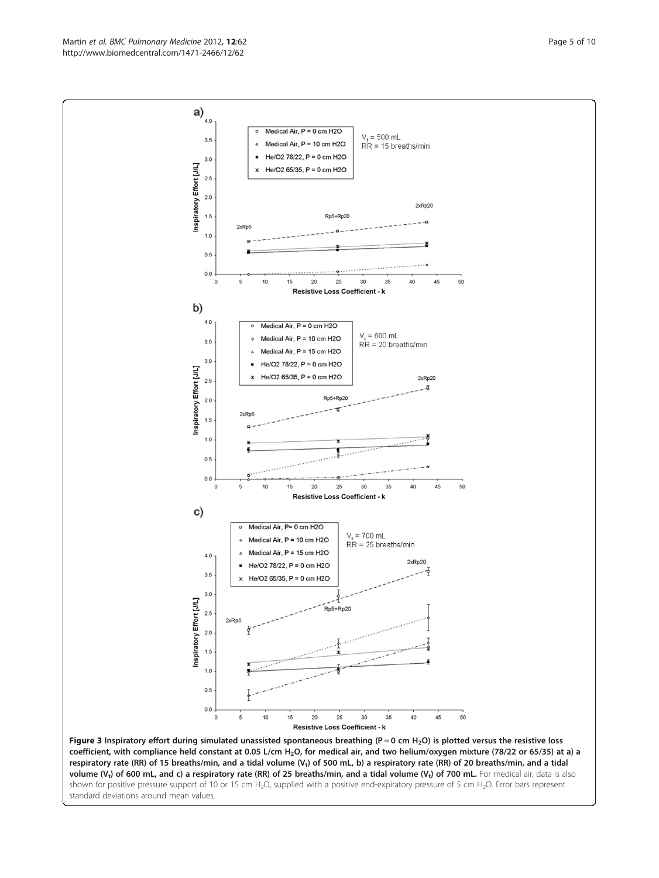coefficient, with compliance held constant at 0.05 L/cm H2O, for medical air, and two helium/oxygen mixture (78/22 or 65/35) at a) a respiratory rate (RR) of 15 breaths/min, and a tidal volume (V<sub>t</sub>) of 500 mL, b) a respiratory rate (RR) of 20 breaths/min, and a tidal volume (Vt) of 600 mL, and c) a respiratory rate (RR) of 25 breaths/min, and a tidal volume (Vt) of 700 mL. For medical air, data is also shown for positive pressure support of 10 or 15 cm H<sub>2</sub>O, supplied with a positive end-expiratory pressure of 5 cm H<sub>2</sub>O. Error bars represent standard deviations around mean values.

<span id="page-4-0"></span>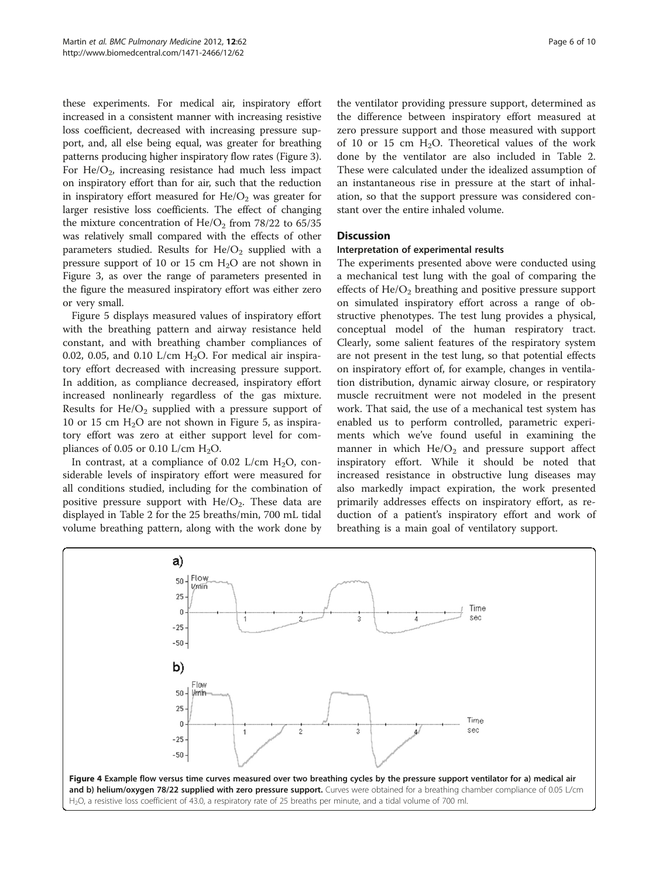<span id="page-5-0"></span>these experiments. For medical air, inspiratory effort increased in a consistent manner with increasing resistive loss coefficient, decreased with increasing pressure support, and, all else being equal, was greater for breathing patterns producing higher inspiratory flow rates (Figure [3](#page-4-0)). For  $He/O<sub>2</sub>$ , increasing resistance had much less impact on inspiratory effort than for air, such that the reduction in inspiratory effort measured for  $He/O<sub>2</sub>$  was greater for larger resistive loss coefficients. The effect of changing the mixture concentration of  $He/O<sub>2</sub>$  from 78/22 to 65/35 was relatively small compared with the effects of other parameters studied. Results for  $He/O<sub>2</sub>$  supplied with a pressure support of 10 or 15 cm  $H_2O$  are not shown in Figure [3](#page-4-0), as over the range of parameters presented in the figure the measured inspiratory effort was either zero or very small.

Figure [5](#page-6-0) displays measured values of inspiratory effort with the breathing pattern and airway resistance held constant, and with breathing chamber compliances of 0.02, 0.05, and 0.10 L/cm  $H_2O$ . For medical air inspiratory effort decreased with increasing pressure support. In addition, as compliance decreased, inspiratory effort increased nonlinearly regardless of the gas mixture. Results for  $He/O<sub>2</sub>$  supplied with a pressure support of 10 or 15 cm  $H<sub>2</sub>O$  are not shown in Figure [5](#page-6-0), as inspiratory effort was zero at either support level for compliances of 0.05 or 0.10 L/cm  $H<sub>2</sub>O$ .

In contrast, at a compliance of 0.02 L/cm  $H_2O$ , considerable levels of inspiratory effort were measured for all conditions studied, including for the combination of positive pressure support with  $He/O<sub>2</sub>$ . These data are displayed in Table [2](#page-6-0) for the 25 breaths/min, 700 mL tidal volume breathing pattern, along with the work done by

the ventilator providing pressure support, determined as the difference between inspiratory effort measured at zero pressure support and those measured with support of 10 or 15 cm  $H<sub>2</sub>O$ . Theoretical values of the work done by the ventilator are also included in Table [2](#page-6-0). These were calculated under the idealized assumption of an instantaneous rise in pressure at the start of inhalation, so that the support pressure was considered constant over the entire inhaled volume.

# **Discussion**

## Interpretation of experimental results

The experiments presented above were conducted using a mechanical test lung with the goal of comparing the effects of  $He/O<sub>2</sub>$  breathing and positive pressure support on simulated inspiratory effort across a range of obstructive phenotypes. The test lung provides a physical, conceptual model of the human respiratory tract. Clearly, some salient features of the respiratory system are not present in the test lung, so that potential effects on inspiratory effort of, for example, changes in ventilation distribution, dynamic airway closure, or respiratory muscle recruitment were not modeled in the present work. That said, the use of a mechanical test system has enabled us to perform controlled, parametric experiments which we've found useful in examining the manner in which  $He/O<sub>2</sub>$  and pressure support affect inspiratory effort. While it should be noted that increased resistance in obstructive lung diseases may also markedly impact expiration, the work presented primarily addresses effects on inspiratory effort, as reduction of a patient's inspiratory effort and work of breathing is a main goal of ventilatory support.

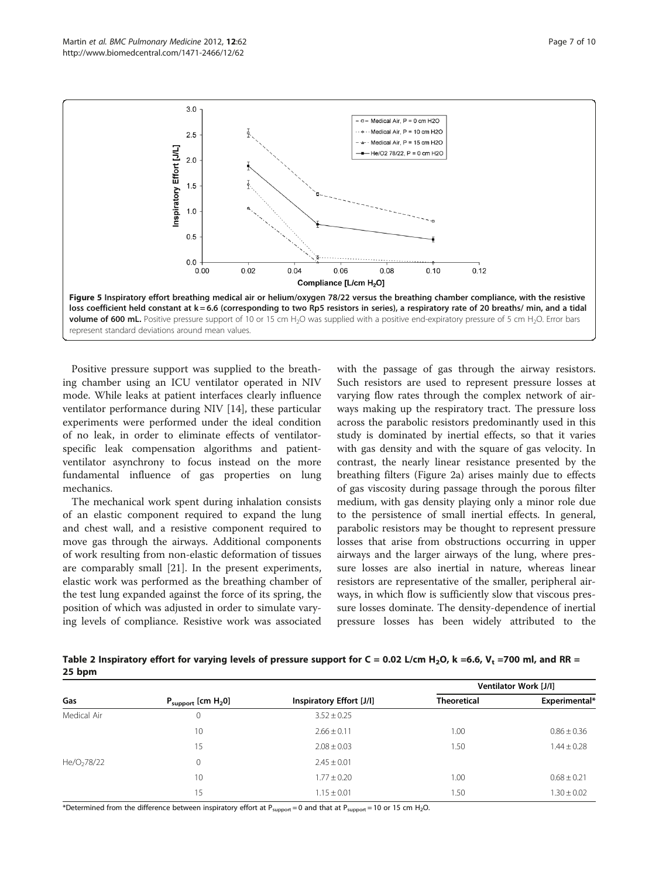<span id="page-6-0"></span>

Positive pressure support was supplied to the breathing chamber using an ICU ventilator operated in NIV mode. While leaks at patient interfaces clearly influence ventilator performance during NIV [\[14](#page-9-0)], these particular experiments were performed under the ideal condition of no leak, in order to eliminate effects of ventilatorspecific leak compensation algorithms and patientventilator asynchrony to focus instead on the more fundamental influence of gas properties on lung mechanics.

The mechanical work spent during inhalation consists of an elastic component required to expand the lung and chest wall, and a resistive component required to move gas through the airways. Additional components of work resulting from non-elastic deformation of tissues are comparably small [\[21\]](#page-9-0). In the present experiments, elastic work was performed as the breathing chamber of the test lung expanded against the force of its spring, the position of which was adjusted in order to simulate varying levels of compliance. Resistive work was associated with the passage of gas through the airway resistors. Such resistors are used to represent pressure losses at varying flow rates through the complex network of airways making up the respiratory tract. The pressure loss across the parabolic resistors predominantly used in this study is dominated by inertial effects, so that it varies with gas density and with the square of gas velocity. In contrast, the nearly linear resistance presented by the breathing filters (Figure [2](#page-3-0)a) arises mainly due to effects of gas viscosity during passage through the porous filter medium, with gas density playing only a minor role due to the persistence of small inertial effects. In general, parabolic resistors may be thought to represent pressure losses that arise from obstructions occurring in upper airways and the larger airways of the lung, where pressure losses are also inertial in nature, whereas linear resistors are representative of the smaller, peripheral airways, in which flow is sufficiently slow that viscous pressure losses dominate. The density-dependence of inertial pressure losses has been widely attributed to the

Table 2 Inspiratory effort for varying levels of pressure support for C = 0.02 L/cm H<sub>2</sub>O, k =6.6, V<sub>t</sub> =700 ml, and RR = 25 bpm

| Gas                     | $P_{support}$ [cm $H_2O$ ] |                          | Ventilator Work [J/l] |                 |
|-------------------------|----------------------------|--------------------------|-----------------------|-----------------|
|                         |                            | Inspiratory Effort [J/I] | <b>Theoretical</b>    | Experimental*   |
| Medical Air             | $\mathbf{0}$               | $3.52 \pm 0.25$          |                       |                 |
|                         | 10                         | $2.66 \pm 0.11$          | 1.00                  | $0.86 \pm 0.36$ |
|                         | 15                         | $2.08 \pm 0.03$          | 1.50                  | $1.44 \pm 0.28$ |
| He/O <sub>2</sub> 78/22 | $\Omega$                   | $2.45 \pm 0.01$          |                       |                 |
|                         | 10                         | $1.77 \pm 0.20$          | 1.00                  | $0.68 \pm 0.21$ |
|                         | 15                         | $1.15 \pm 0.01$          | 1.50                  | $1.30 \pm 0.02$ |

\*Determined from the difference between inspiratory effort at P<sub>support</sub> = 0 and that at P<sub>support</sub> = 10 or 15 cm H<sub>2</sub>O.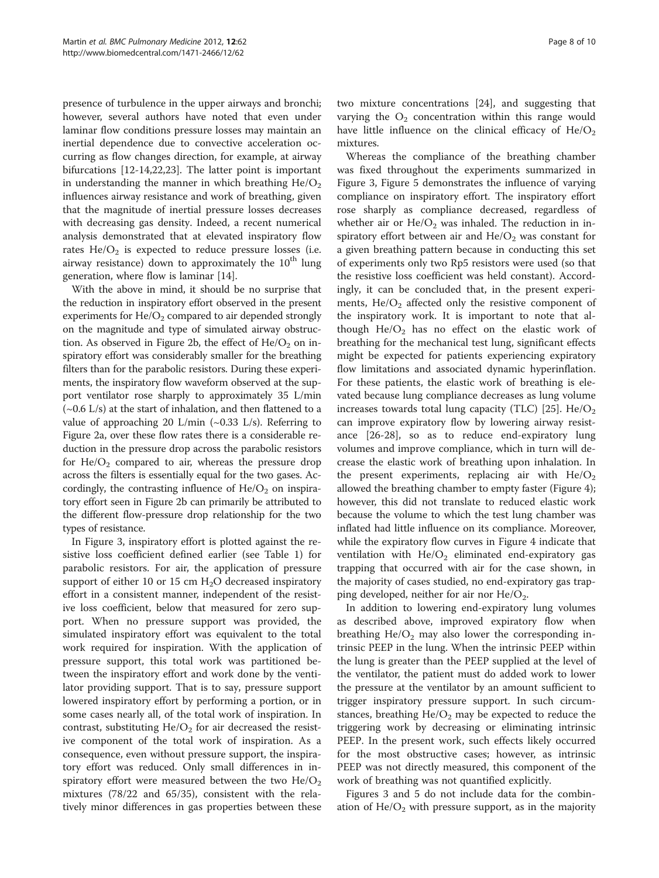presence of turbulence in the upper airways and bronchi; however, several authors have noted that even under laminar flow conditions pressure losses may maintain an inertial dependence due to convective acceleration occurring as flow changes direction, for example, at airway bifurcations [\[12](#page-9-0)-[14](#page-9-0),[22,23](#page-9-0)]. The latter point is important in understanding the manner in which breathing  $He/O<sub>2</sub>$ influences airway resistance and work of breathing, given that the magnitude of inertial pressure losses decreases with decreasing gas density. Indeed, a recent numerical analysis demonstrated that at elevated inspiratory flow rates  $He/O<sub>2</sub>$  is expected to reduce pressure losses (i.e. airway resistance) down to approximately the  $10^{th}$  lung generation, where flow is laminar [[14](#page-9-0)].

With the above in mind, it should be no surprise that the reduction in inspiratory effort observed in the present experiments for  $He/O<sub>2</sub>$  compared to air depended strongly on the magnitude and type of simulated airway obstruc-tion. As observed in Figure [2b](#page-3-0), the effect of  $He/O<sub>2</sub>$  on inspiratory effort was considerably smaller for the breathing filters than for the parabolic resistors. During these experiments, the inspiratory flow waveform observed at the support ventilator rose sharply to approximately 35 L/min  $(-0.6 \text{ L/s})$  at the start of inhalation, and then flattened to a value of approaching 20 L/min (~0.33 L/s). Referring to Figure [2a](#page-3-0), over these flow rates there is a considerable reduction in the pressure drop across the parabolic resistors for  $He/O<sub>2</sub>$  compared to air, whereas the pressure drop across the filters is essentially equal for the two gases. Accordingly, the contrasting influence of  $He/O<sub>2</sub>$  on inspiratory effort seen in Figure [2](#page-3-0)b can primarily be attributed to the different flow-pressure drop relationship for the two types of resistance.

In Figure [3,](#page-4-0) inspiratory effort is plotted against the resistive loss coefficient defined earlier (see Table [1\)](#page-2-0) for parabolic resistors. For air, the application of pressure support of either 10 or 15 cm  $H_2O$  decreased inspiratory effort in a consistent manner, independent of the resistive loss coefficient, below that measured for zero support. When no pressure support was provided, the simulated inspiratory effort was equivalent to the total work required for inspiration. With the application of pressure support, this total work was partitioned between the inspiratory effort and work done by the ventilator providing support. That is to say, pressure support lowered inspiratory effort by performing a portion, or in some cases nearly all, of the total work of inspiration. In contrast, substituting  $He/O<sub>2</sub>$  for air decreased the resistive component of the total work of inspiration. As a consequence, even without pressure support, the inspiratory effort was reduced. Only small differences in inspiratory effort were measured between the two  $He/O<sub>2</sub>$ mixtures (78/22 and 65/35), consistent with the relatively minor differences in gas properties between these

two mixture concentrations [[24\]](#page-9-0), and suggesting that varying the  $O_2$  concentration within this range would have little influence on the clinical efficacy of  $He/O<sub>2</sub>$ mixtures.

Whereas the compliance of the breathing chamber was fixed throughout the experiments summarized in Figure [3,](#page-4-0) Figure [5](#page-6-0) demonstrates the influence of varying compliance on inspiratory effort. The inspiratory effort rose sharply as compliance decreased, regardless of whether air or  $\text{He/O}_2$  was inhaled. The reduction in inspiratory effort between air and  $He/O<sub>2</sub>$  was constant for a given breathing pattern because in conducting this set of experiments only two Rp5 resistors were used (so that the resistive loss coefficient was held constant). Accordingly, it can be concluded that, in the present experiments,  $He/O<sub>2</sub>$  affected only the resistive component of the inspiratory work. It is important to note that although  $He/O<sub>2</sub>$  has no effect on the elastic work of breathing for the mechanical test lung, significant effects might be expected for patients experiencing expiratory flow limitations and associated dynamic hyperinflation. For these patients, the elastic work of breathing is elevated because lung compliance decreases as lung volume increases towards total lung capacity (TLC) [[25\]](#page-9-0). He/ $O<sub>2</sub>$ can improve expiratory flow by lowering airway resistance [\[26-28](#page-9-0)], so as to reduce end-expiratory lung volumes and improve compliance, which in turn will decrease the elastic work of breathing upon inhalation. In the present experiments, replacing air with  $He/O<sub>2</sub>$ allowed the breathing chamber to empty faster (Figure [4](#page-5-0)); however, this did not translate to reduced elastic work because the volume to which the test lung chamber was inflated had little influence on its compliance. Moreover, while the expiratory flow curves in Figure [4](#page-5-0) indicate that ventilation with  $He/O<sub>2</sub>$  eliminated end-expiratory gas trapping that occurred with air for the case shown, in the majority of cases studied, no end-expiratory gas trapping developed, neither for air nor  $He/O<sub>2</sub>$ .

In addition to lowering end-expiratory lung volumes as described above, improved expiratory flow when breathing  $He/O<sub>2</sub>$  may also lower the corresponding intrinsic PEEP in the lung. When the intrinsic PEEP within the lung is greater than the PEEP supplied at the level of the ventilator, the patient must do added work to lower the pressure at the ventilator by an amount sufficient to trigger inspiratory pressure support. In such circumstances, breathing  $He/O<sub>2</sub>$  may be expected to reduce the triggering work by decreasing or eliminating intrinsic PEEP. In the present work, such effects likely occurred for the most obstructive cases; however, as intrinsic PEEP was not directly measured, this component of the work of breathing was not quantified explicitly.

Figures [3](#page-4-0) and [5](#page-6-0) do not include data for the combination of  $He/O<sub>2</sub>$  with pressure support, as in the majority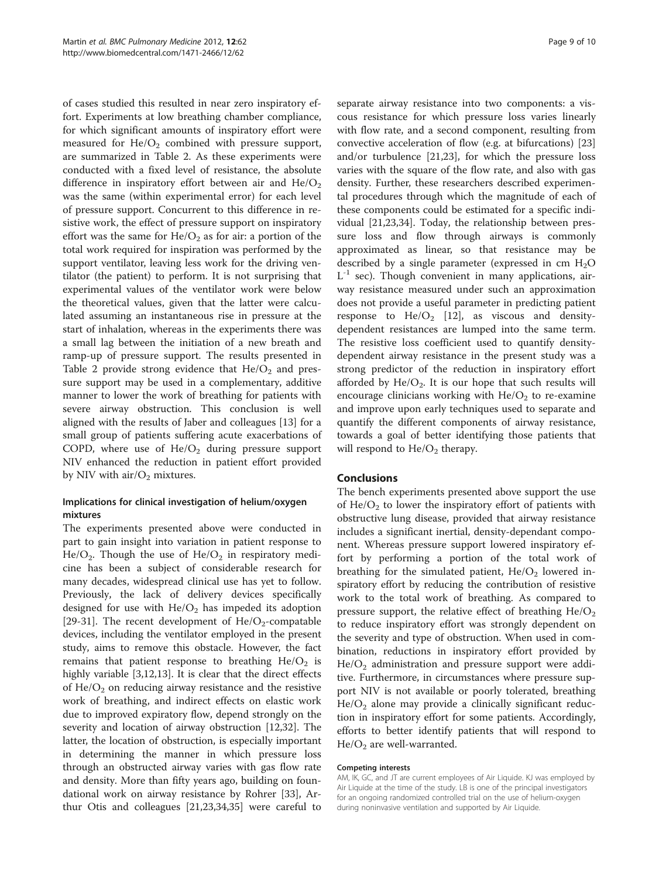of cases studied this resulted in near zero inspiratory effort. Experiments at low breathing chamber compliance, for which significant amounts of inspiratory effort were measured for  $He/O<sub>2</sub>$  combined with pressure support, are summarized in Table [2.](#page-6-0) As these experiments were conducted with a fixed level of resistance, the absolute difference in inspiratory effort between air and  $He/O<sub>2</sub>$ was the same (within experimental error) for each level of pressure support. Concurrent to this difference in resistive work, the effect of pressure support on inspiratory effort was the same for  $He/O<sub>2</sub>$  as for air: a portion of the total work required for inspiration was performed by the support ventilator, leaving less work for the driving ventilator (the patient) to perform. It is not surprising that experimental values of the ventilator work were below the theoretical values, given that the latter were calculated assuming an instantaneous rise in pressure at the start of inhalation, whereas in the experiments there was a small lag between the initiation of a new breath and ramp-up of pressure support. The results presented in Table [2](#page-6-0) provide strong evidence that  $He/O<sub>2</sub>$  and pressure support may be used in a complementary, additive manner to lower the work of breathing for patients with severe airway obstruction. This conclusion is well aligned with the results of Jaber and colleagues [[13](#page-9-0)] for a small group of patients suffering acute exacerbations of COPD, where use of  $He/O<sub>2</sub>$  during pressure support NIV enhanced the reduction in patient effort provided by NIV with  $\rm air/O_2$  mixtures.

# Implications for clinical investigation of helium/oxygen mixtures

The experiments presented above were conducted in part to gain insight into variation in patient response to He/O<sub>2</sub>. Though the use of He/O<sub>2</sub> in respiratory medicine has been a subject of considerable research for many decades, widespread clinical use has yet to follow. Previously, the lack of delivery devices specifically designed for use with  $He/O<sub>2</sub>$  has impeded its adoption [[29-31](#page-9-0)]. The recent development of  $He/O_2$ -compatable devices, including the ventilator employed in the present study, aims to remove this obstacle. However, the fact remains that patient response to breathing  $He/O<sub>2</sub>$  is highly variable [[3,12,13\]](#page-9-0). It is clear that the direct effects of  $He/O<sub>2</sub>$  on reducing airway resistance and the resistive work of breathing, and indirect effects on elastic work due to improved expiratory flow, depend strongly on the severity and location of airway obstruction [\[12,32](#page-9-0)]. The latter, the location of obstruction, is especially important in determining the manner in which pressure loss through an obstructed airway varies with gas flow rate and density. More than fifty years ago, building on foundational work on airway resistance by Rohrer [\[33\]](#page-9-0), Arthur Otis and colleagues [\[21,23,34,35\]](#page-9-0) were careful to

separate airway resistance into two components: a viscous resistance for which pressure loss varies linearly with flow rate, and a second component, resulting from convective acceleration of flow (e.g. at bifurcations) [[23](#page-9-0)] and/or turbulence [[21,23\]](#page-9-0), for which the pressure loss varies with the square of the flow rate, and also with gas density. Further, these researchers described experimental procedures through which the magnitude of each of these components could be estimated for a specific individual [\[21,23,34](#page-9-0)]. Today, the relationship between pressure loss and flow through airways is commonly approximated as linear, so that resistance may be described by a single parameter (expressed in cm  $H_2O$  $L^{-1}$  sec). Though convenient in many applications, airway resistance measured under such an approximation does not provide a useful parameter in predicting patient response to  $He/O<sub>2</sub>$  [\[12](#page-9-0)], as viscous and densitydependent resistances are lumped into the same term. The resistive loss coefficient used to quantify densitydependent airway resistance in the present study was a strong predictor of the reduction in inspiratory effort afforded by  $He/O<sub>2</sub>$ . It is our hope that such results will encourage clinicians working with  $He/O<sub>2</sub>$  to re-examine and improve upon early techniques used to separate and quantify the different components of airway resistance, towards a goal of better identifying those patients that will respond to  $He/O<sub>2</sub>$  therapy.

# Conclusions

The bench experiments presented above support the use of  $He/O<sub>2</sub>$  to lower the inspiratory effort of patients with obstructive lung disease, provided that airway resistance includes a significant inertial, density-dependant component. Whereas pressure support lowered inspiratory effort by performing a portion of the total work of breathing for the simulated patient,  $He/O<sub>2</sub>$  lowered inspiratory effort by reducing the contribution of resistive work to the total work of breathing. As compared to pressure support, the relative effect of breathing  $He/O<sub>2</sub>$ to reduce inspiratory effort was strongly dependent on the severity and type of obstruction. When used in combination, reductions in inspiratory effort provided by  $He/O<sub>2</sub>$  administration and pressure support were additive. Furthermore, in circumstances where pressure support NIV is not available or poorly tolerated, breathing  $He/O<sub>2</sub>$  alone may provide a clinically significant reduction in inspiratory effort for some patients. Accordingly, efforts to better identify patients that will respond to  $He/O<sub>2</sub>$  are well-warranted.

#### Competing interests

AM, IK, GC, and JT are current employees of Air Liquide. KJ was employed by Air Liquide at the time of the study. LB is one of the principal investigators for an ongoing randomized controlled trial on the use of helium-oxygen during noninvasive ventilation and supported by Air Liquide.